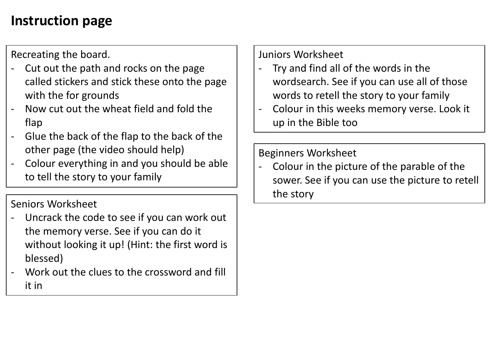## **Instruction page**

Recreating the board.

- Cut out the path and rocks on the page called stickers and stick these onto the page with the for grounds
- Now cut out the wheat field and fold the flap
- Glue the back of the flap to the back of the other page (the video should help)
- Colour everything in and you should be able to tell the story to your family

Seniors Worksheet

- Uncrack the code to see if you can work out the memory verse. See if you can do it without looking it up! (Hint: the first word is blessed)
- Work out the clues to the crossword and fill it in

Juniors Worksheet

- Try and find all of the words in the wordsearch. See if you can use all of those words to retell the story to your family
- Colour in this weeks memory verse. Look it up in the Bible too

## Beginners Worksheet

- Colour in the picture of the parable of the sower. See if you can use the picture to retell the story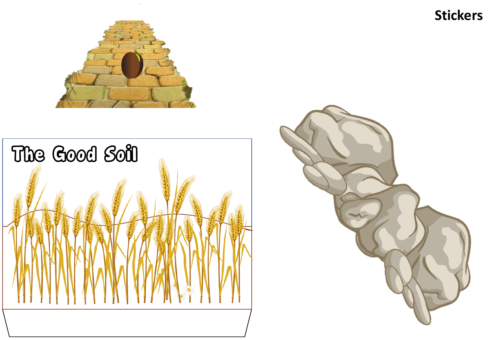**Stickers**





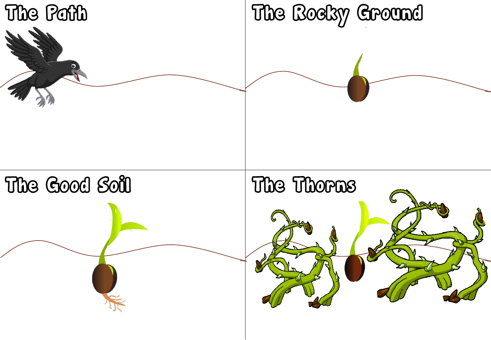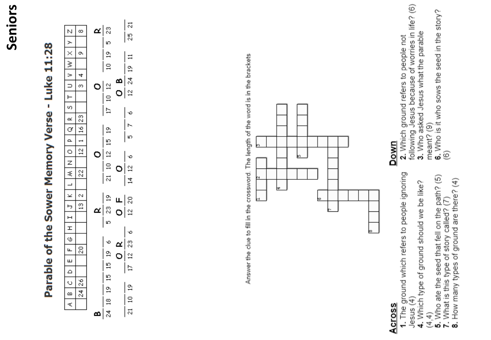| Parable of the Sower Memory Verse - Luke 11:28 | α<br>œ<br>N<br>⋋<br>$\times$<br>o.<br>≩<br>∍<br>4<br>$\supset$<br>$\infty$<br>o<br>⊢<br>59<br>g<br>≃<br>ă<br>₫<br>o.<br>$\overline{ }$<br>51<br>O<br>o<br>Z                                                                         | $\overline{\mathbf{z}}$<br>g<br>$\mathbb{S}$<br>Ю<br>g<br>$\Xi$<br>$\Xi$<br>$\frac{6}{11}$<br>र्दू<br>≃<br>$\overline{5}$<br>$\overline{\omega}$<br>o<br>Ξ<br>Ħ<br>Ф<br>ř<br>g<br>Ю<br>$\overline{15}$<br>Z<br>Ý.<br>Ξ<br>$\overline{2}$<br>c                                                      |  | Answer the clue to fill in the crossword. The length of the word is in the brackets<br>m<br>ı<br>œ | following Jesus because of worries in life? (6)<br><b>6.</b> Who is it who sows the seed in the story?<br>(6)<br>3. Who asked Jesus what the parable<br>2. Which ground refers to people not<br>meant? (9)<br>Down |
|------------------------------------------------|-------------------------------------------------------------------------------------------------------------------------------------------------------------------------------------------------------------------------------------|----------------------------------------------------------------------------------------------------------------------------------------------------------------------------------------------------------------------------------------------------------------------------------------------------|--|----------------------------------------------------------------------------------------------------|--------------------------------------------------------------------------------------------------------------------------------------------------------------------------------------------------------------------|
|                                                | 2<br>\$,<br>$\overline{\phantom{0}}$<br>$\!\boldsymbol{\times}$<br>$\sim$<br>$\frac{1}{2}$<br>ь<br>α<br>$\mathsf{H}$<br>I<br>Φ<br>g<br>ட<br>ш<br>Δ<br>$\frac{8}{26}$<br>$\circ$<br>$\frac{4}{3}$<br>$\boldsymbol{\omega}$<br>₹<br>∞ | $\overline{\mathcal{N}}$<br>궄<br>2<br>$\approx$<br>щ<br>g<br>$\tilde{a}$<br>o<br>Ю<br>Ф<br>$\stackrel{\circ}{\scriptstyle\sim}$<br>۰o<br>≃<br>2<br>$\overline{2}$<br>O<br>$\overline{15}$<br>Ħ<br>$\overline{15}$<br>$\tilde{z}$<br>g<br>$\Xi$<br>$\frac{8}{14}$<br>$\overline{\mathbf{a}}$<br>र्द |  |                                                                                                    |                                                                                                                                                                                                                    |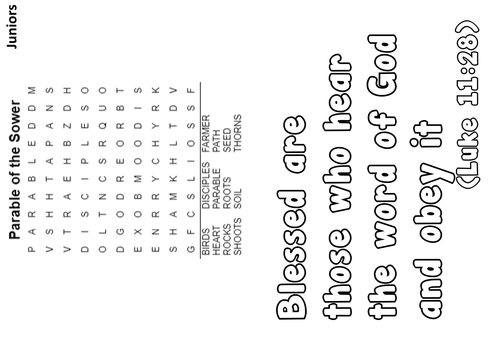**Juniors**

|                                    |    | CO. |   |       |                          |            |        |                          |        | ப   |                            |
|------------------------------------|----|-----|---|-------|--------------------------|------------|--------|--------------------------|--------|-----|----------------------------|
|                                    |    | ╱   |   | m     |                          | m          |        |                          |        | Ø)  |                            |
| Ξ                                  | ≏  | кĽ  | N | ш     | O                        | œ          | $\Box$ |                          |        | CO. |                            |
| л                                  | Щ  |     | മ |       | œ                        | $\circ$    | O      |                          |        |     | FAR<br>冨                   |
| $\overset{\mathbf{0}}{\mathbf{0}}$ |    | ď   | Ŧ | உ     | U)                       | Щ          | O      | O                        |        |     | CO.                        |
|                                    | മാ |     | ш |       | $\mathbb{C}$             | $\square'$ | Ξ      | $\succ$                  |        |     | ц.<br>₫                    |
|                                    | ď  |     | ď | تمسكا | $\overline{\mathcal{L}}$ |            | മാ     | œ                        | $\geq$ | O)  | <b>RAR</b><br>ਨ<br>ี<br>อี |
| arapie                             | œ  |     | œ | U)    |                          |            | O      | œ                        | ď      | O   | ōΖ<br>ഗ<br>л               |
|                                    | кĽ | CO. |   |       |                          | O          | $>\,$  | $\overline{\phantom{a}}$ |        |     |                            |
|                                    | n  |     |   |       |                          |            |        |                          | U)     | rп  | $\bar{\bm{\tau}}$<br>កា    |

## the word of God and obey it it EOC those who hear JOSCIP WODCJ OG3 Blessed are odosse a  $\text{GLO}$